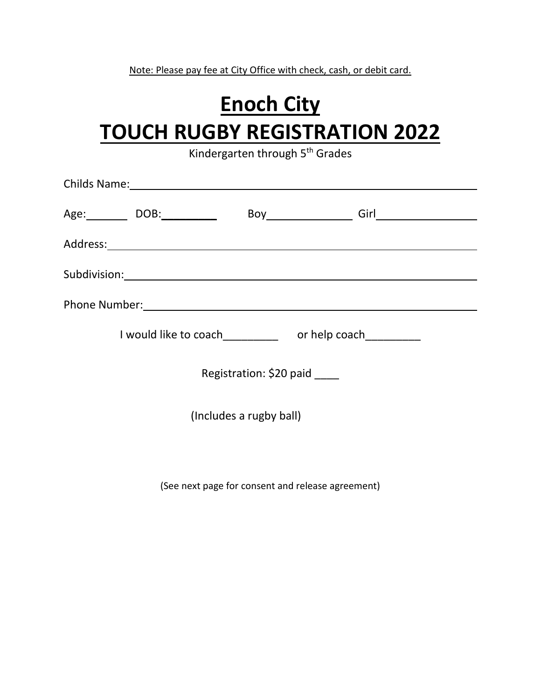Note: Please pay fee at City Office with check, cash, or debit card.

## **Enoch City TOUCH RUGBY REGISTRATION 2022**

Kindergarten through 5<sup>th</sup> Grades

|                              | Age:_____________ DOB:_____________ |  |  |  |
|------------------------------|-------------------------------------|--|--|--|
|                              |                                     |  |  |  |
|                              |                                     |  |  |  |
|                              |                                     |  |  |  |
|                              |                                     |  |  |  |
| Registration: \$20 paid ____ |                                     |  |  |  |
| (Includes a rugby ball)      |                                     |  |  |  |
|                              |                                     |  |  |  |
|                              |                                     |  |  |  |

(See next page for consent and release agreement)